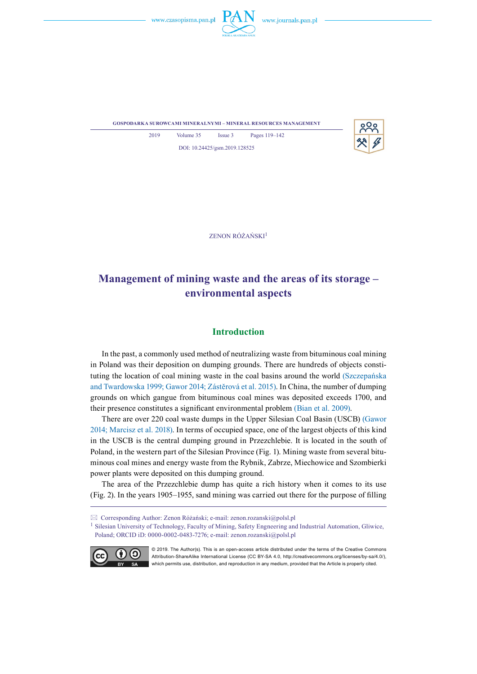





ZENON RÓŻAŃSKI<sup>1</sup>

DOI: 10.24425/gsm.2019.128525

# **Management of mining waste and the areas of its storage – environmental aspects**

## **Introduction**

In the past, a commonly used method of neutralizing waste from bituminous coal mining in Poland was their deposition on dumping grounds. There are hundreds of objects constituting the location of coal mining waste in the coal basins around the world (Szczepańska and Twardowska 1999; Gawor 2014; Zástěrová et al. 2015). In China, the number of dumping grounds on which gangue from bituminous coal mines was deposited exceeds 1700, and their presence constitutes a significant environmental problem (Bian et al. 2009).

There are over 220 coal waste dumps in the Upper Silesian Coal Basin (USCB) (Gawor 2014; Marcisz et al. 2018). In terms of occupied space, one of the largest objects of this kind in the USCB is the central dumping ground in Przezchlebie. It is located in the south of Poland, in the western part of the Silesian Province (Fig. 1). Mining waste from several bituminous coal mines and energy waste from the Rybnik, Zabrze, Miechowice and Szombierki power plants were deposited on this dumping ground.

The area of the Przezchlebie dump has quite a rich history when it comes to its use (Fig. 2). In the years 1905–1955, sand mining was carried out there for the purpose of filling

Corresponding Author: Zenon Różański; e-mail: zenon.rozanski@polsl.pl

<sup>1</sup> Silesian University of Technology, Faculty of Mining, Safety Engneering and Industrial Automation, Gliwice, Poland; ORCID iD: 0000-0002-0483-7276; e-mail: zenon.rozanski@polsl.pl



© 2019. The Author(s). This is an open-access article distributed under the terms of the Creative Commons Attribution-ShareAlike International License (CC BY-SA 4.0, http://creativecommons.org/licenses/by-sa/4.0/), which permits use, distribution, and reproduction in any medium, provided that the Article is properly cited.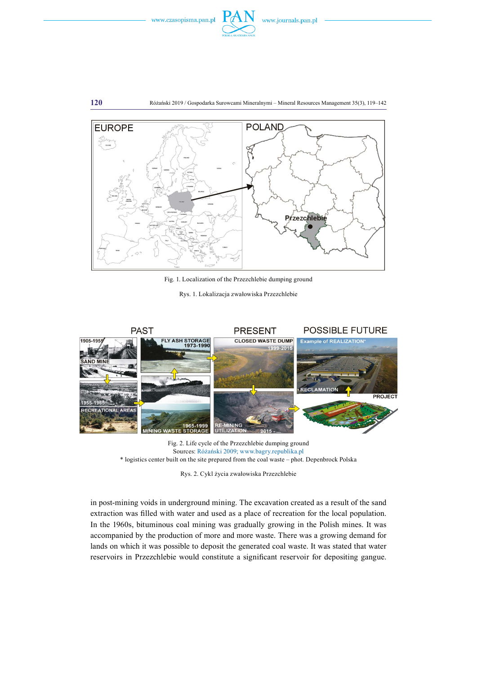

**120** Różański 2019 / Gospodarka Surowcami Mineralnymi – Mineral Resources Management 35(3), 119–142



Fig. 1. Localization of the Przezchlebie dumping ground

Rys. 1. Lokalizacja zwałowiska Przezchlebie



Fig. 2. Life cycle of the Przezchlebie dumping ground Sources: Różański 2009; www.bagry.republika.pl \* logistics center built on the site prepared from the coal waste – phot. Depenbrock Polska

Rys. 2. Cykl życia zwałowiska Przezchlebie

in post-mining voids in underground mining. The excavation created as a result of the sand extraction was filled with water and used as a place of recreation for the local population. In the 1960s, bituminous coal mining was gradually growing in the Polish mines. It was accompanied by the production of more and more waste. There was a growing demand for lands on which it was possible to deposit the generated coal waste. It was stated that water reservoirs in Przezchlebie would constitute a significant reservoir for depositing gangue.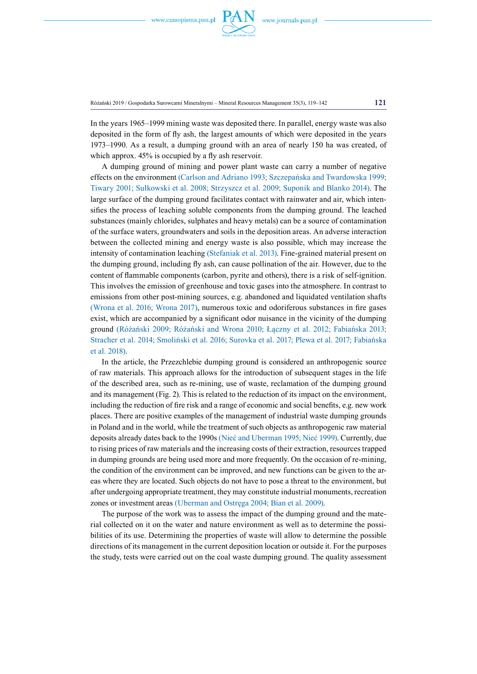

Różański 2019 / Gospodarka Surowcami Mineralnymi – Mineral Resources Management 35(3), 119–142 **121**

In the years 1965–1999 mining waste was deposited there. In parallel, energy waste was also deposited in the form of fly ash, the largest amounts of which were deposited in the years 1973–1990. As a result, a dumping ground with an area of nearly 150 ha was created, of which approx.  $45\%$  is occupied by a fly ash reservoir.

A dumping ground of mining and power plant waste can carry a number of negative effects on the environment (Carlson and Adriano 1993; Szczepańska and Twardowska 1999; Tiwary 2001; Sułkowski et al. 2008; Strzyszcz et al. 2009; Suponik and Blanko 2014). The large surface of the dumping ground facilitates contact with rainwater and air, which intensifies the process of leaching soluble components from the dumping ground. The leached substances (mainly chlorides, sulphates and heavy metals) can be a source of contamination of the surface waters, groundwaters and soils in the deposition areas. An adverse interaction between the collected mining and energy waste is also possible, which may increase the intensity of contamination leaching (Stefaniak et al. 2013). Fine-grained material present on the dumping ground, including fly ash, can cause pollination of the air. However, due to the content of flammable components (carbon, pyrite and others), there is a risk of self-ignition. This involves the emission of greenhouse and toxic gases into the atmosphere. In contrast to emissions from other post-mining sources, e.g. abandoned and liquidated ventilation shafts (Wrona et al. 2016; Wrona 2017), numerous toxic and odoriferous substances in fire gases exist, which are accompanied by a significant odor nuisance in the vicinity of the dumping ground (Różański 2009; Różański and Wrona 2010; Łączny et al. 2012; Fabiańska 2013; Stracher et al. 2014; Smoliński et al. 2016; Surovka et al. 2017; Plewa et al. 2017; Fabiańska et al. 2018).

In the article, the Przezchlebie dumping ground is considered an anthropogenic source of raw materials. This approach allows for the introduction of subsequent stages in the life of the described area, such as re-mining, use of waste, reclamation of the dumping ground and its management (Fig. 2). This is related to the reduction of its impact on the environment, including the reduction of fire risk and a range of economic and social benefits, e.g. new work places. There are positive examples of the management of industrial waste dumping grounds in Poland and in the world, while the treatment of such objects as anthropogenic raw material deposits already dates back to the 1990s (Nieć and Uberman 1995; Nieć 1999). Currently, due to rising prices of raw materials and the increasing costs of their extraction, resources trapped in dumping grounds are being used more and more frequently. On the occasion of re-mining, the condition of the environment can be improved, and new functions can be given to the areas where they are located. Such objects do not have to pose a threat to the environment, but after undergoing appropriate treatment, they may constitute industrial monuments, recreation zones or investment areas (Uberman and Ostręga 2004; Bian et al. 2009).

The purpose of the work was to assess the impact of the dumping ground and the material collected on it on the water and nature environment as well as to determine the possibilities of its use. Determining the properties of waste will allow to determine the possible directions of its management in the current deposition location or outside it. For the purposes the study, tests were carried out on the coal waste dumping ground. The quality assessment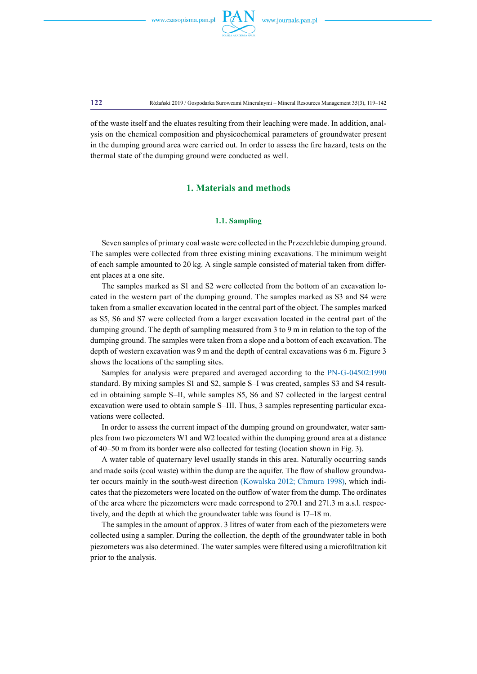

**122** Różański 2019 / Gospodarka Surowcami Mineralnymi – Mineral Resources Management 35(3), 119–142

of the waste itself and the eluates resulting from their leaching were made. In addition, analysis on the chemical composition and physicochemical parameters of groundwater present in the dumping ground area were carried out. In order to assess the fire hazard, tests on the thermal state of the dumping ground were conducted as well.

## **1. Materials and methods**

### **1.1. Sampling**

Seven samples of primary coal waste were collected in the Przezchlebie dumping ground. The samples were collected from three existing mining excavations. The minimum weight of each sample amounted to 20 kg. A single sample consisted of material taken from different places at a one site.

The samples marked as S1 and S2 were collected from the bottom of an excavation located in the western part of the dumping ground. The samples marked as S3 and S4 were taken from a smaller excavation located in the central part of the object. The samples marked as S5, S6 and S7 were collected from a larger excavation located in the central part of the dumping ground. The depth of sampling measured from 3 to 9 m in relation to the top of the dumping ground. The samples were taken from a slope and a bottom of each excavation. The depth of western excavation was 9 m and the depth of central excavations was 6 m. Figure 3 shows the locations of the sampling sites.

Samples for analysis were prepared and averaged according to the PN-G-04502:1990 standard. By mixing samples S1 and S2, sample S–I was created, samples S3 and S4 resulted in obtaining sample S–II, while samples S5, S6 and S7 collected in the largest central excavation were used to obtain sample S–III. Thus, 3 samples representing particular excavations were collected.

In order to assess the current impact of the dumping ground on groundwater, water samples from two piezometers W1 and W2 located within the dumping ground area at a distance of 40–50 m from its border were also collected for testing (location shown in Fig. 3).

A water table of quaternary level usually stands in this area. Naturally occurring sands and made soils (coal waste) within the dump are the aquifer. The flow of shallow groundwater occurs mainly in the south-west direction (Kowalska 2012; Chmura 1998), which indicates that the piezometers were located on the outflow of water from the dump. The ordinates of the area where the piezometers were made correspond to 270.1 and 271.3 m a.s.l. respectively, and the depth at which the groundwater table was found is 17–18 m.

The samples in the amount of approx. 3 litres of water from each of the piezometers were collected using a sampler. During the collection, the depth of the groundwater table in both piezometers was also determined. The water samples were filtered using a microfiltration kit prior to the analysis.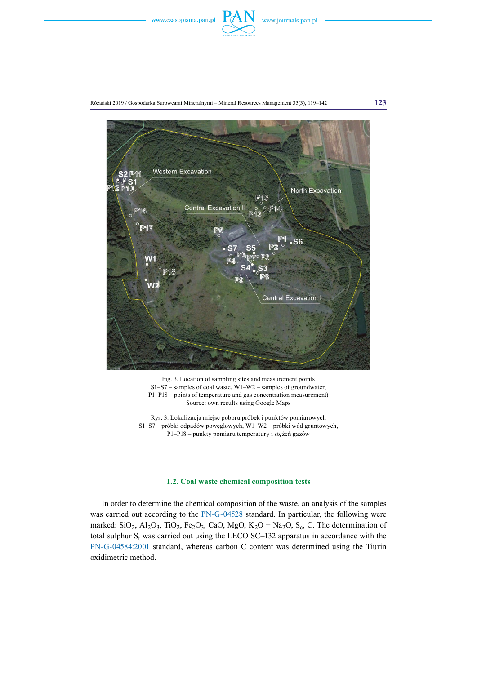





Fig. 3. Location of sampling sites and measurement points S1–S7 – samples of coal waste, W1–W2 – samples of groundwater, P1–P18 – points of temperature and gas concentration measurement) Source: own results using Google Maps

Rys. 3. Lokalizacja miejsc poboru próbek i punktów pomiarowych S1–S7 – próbki odpadów powęglowych, W1–W2 – próbki wód gruntowych, P1–P18 – punkty pomiaru temperatury i stężeń gazów

### **1.2. Coal waste chemical composition tests**

In order to determine the chemical composition of the waste, an analysis of the samples was carried out according to the PN-G-04528 standard. In particular, the following were marked:  $SiO_2$ ,  $Al_2O_3$ ,  $TiO_2$ ,  $Fe_2O_3$ ,  $CaO$ ,  $MgO$ ,  $K_2O + Na_2O$ ,  $S_c$ , C. The determination of total sulphur  $S_t$  was carried out using the LECO SC-132 apparatus in accordance with the PN-G-04584:2001 standard, whereas carbon C content was determined using the Tiurin oxidimetric method.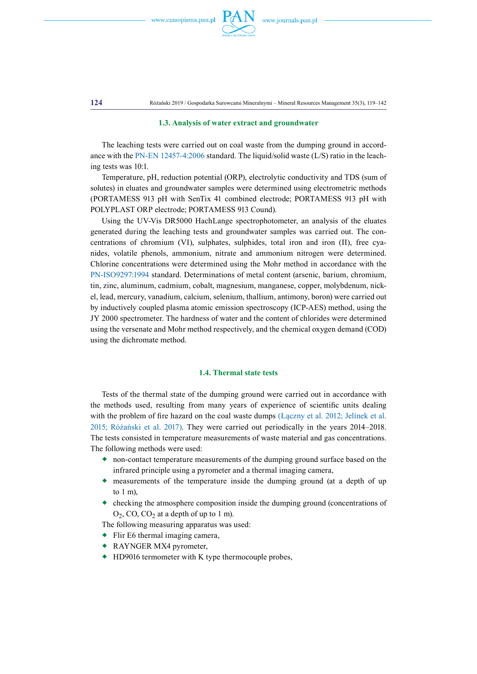

**124** Różański 2019 / Gospodarka Surowcami Mineralnymi – Mineral Resources Management 35(3), 119–142

#### **1.3. Analysis of water extract and groundwater**

The leaching tests were carried out on coal waste from the dumping ground in accordance with the PN-EN 12457-4:2006 standard. The liquid/solid waste (L/S) ratio in the leaching tests was 10:1.

Temperature, pH, reduction potential (ORP), electrolytic conductivity and TDS (sum of solutes) in eluates and groundwater samples were determined using electrometric methods (PORTAMESS 913 pH with SenTix 41 combined electrode; PORTAMESS 913 pH with POLYPLAST ORP electrode; PORTAMESS 913 Cound).

Using the UV-Vis DR5000 HachLange spectrophotometer, an analysis of the eluates generated during the leaching tests and groundwater samples was carried out. The concentrations of chromium (VI), sulphates, sulphides, total iron and iron (II), free cyanides, volatile phenols, ammonium, nitrate and ammonium nitrogen were determined. Chlorine concentrations were determined using the Mohr method in accordance with the PN-ISO9297:1994 standard. Determinations of metal content (arsenic, barium, chromium, tin, zinc, aluminum, cadmium, cobalt, magnesium, manganese, copper, molybdenum, nickel, lead, mercury, vanadium, calcium, selenium, thallium, antimony, boron) were carried out by inductively coupled plasma atomic emission spectroscopy (ICP-AES) method, using the JY 2000 spectrometer. The hardness of water and the content of chlorides were determined using the versenate and Mohr method respectively, and the chemical oxygen demand (COD) using the dichromate method.

#### **1.4. Thermal state tests**

Tests of the thermal state of the dumping ground were carried out in accordance with the methods used, resulting from many years of experience of scientific units dealing with the problem of fire hazard on the coal waste dumps (Łączny et al. 2012; Jelínek et al. 2015; Różański et al. 2017). They were carried out periodically in the years 2014–2018. The tests consisted in temperature measurements of waste material and gas concentrations. The following methods were used:

- non-contact temperature measurements of the dumping ground surface based on the infrared principle using a pyrometer and a thermal imaging camera,
- measurements of the temperature inside the dumping ground (at a depth of up to 1 m),
- $\bullet$  checking the atmosphere composition inside the dumping ground (concentrations of  $O_2$ , CO, CO<sub>2</sub> at a depth of up to 1 m).

The following measuring apparatus was used:

- Flir E6 thermal imaging camera,
- RAYNGER MX4 pyrometer,
- ◆ HD9016 termometer with K type thermocouple probes,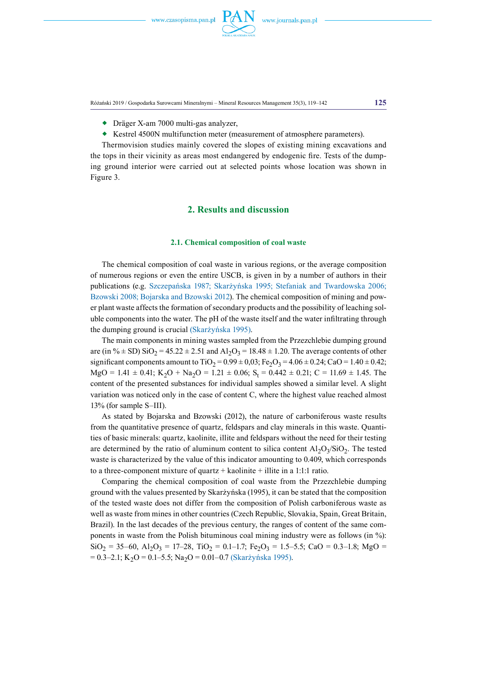Różański 2019 / Gospodarka Surowcami Mineralnymi – Mineral Resources Management 35(3), 119–142 **125**

- Dräger X-am 7000 multi-gas analyzer,
- Kestrel 4500N multifunction meter (measurement of atmosphere parameters).

Thermovision studies mainly covered the slopes of existing mining excavations and the tops in their vicinity as areas most endangered by endogenic fire. Tests of the dumping ground interior were carried out at selected points whose location was shown in Figure 3.

# **2. Results and discussion**

### **2.1. Chemical composition of coal waste**

The chemical composition of coal waste in various regions, or the average composition of numerous regions or even the entire USCB, is given in by a number of authors in their publications (e.g. Szczepańska 1987; Skarżyńska 1995; Stefaniak and Twardowska 2006; Bzowski 2008; Bojarska and Bzowski 2012). The chemical composition of mining and power plant waste affects the formation of secondary products and the possibility of leaching soluble components into the water. The pH of the waste itself and the water infiltrating through the dumping ground is crucial (Skarżyńska 1995).

The main components in mining wastes sampled from the Przezchlebie dumping ground are (in %  $\pm$  SD) SiO<sub>2</sub> = 45.22  $\pm$  2.51 and Al<sub>2</sub>O<sub>3</sub> = 18.48  $\pm$  1.20. The average contents of other significant components amount to TiO<sub>2</sub> = 0.99  $\pm$  0,03; Fe<sub>2</sub>O<sub>3</sub> = 4.06  $\pm$  0.24; CaO = 1.40  $\pm$  0.42;  $MgO = 1.41 \pm 0.41$ ;  $K_2O + Na_2O = 1.21 \pm 0.06$ ;  $S_t = 0.442 \pm 0.21$ ;  $C = 11.69 \pm 1.45$ . The content of the presented substances for individual samples showed a similar level. A slight variation was noticed only in the case of content C, where the highest value reached almost 13% (for sample S–III).

As stated by Bojarska and Bzowski (2012), the nature of carboniferous waste results from the quantitative presence of quartz, feldspars and clay minerals in this waste. Quantities of basic minerals: quartz, kaolinite, illite and feldspars without the need for their testing are determined by the ratio of aluminum content to silica content  $A1_2O_3/SiO_2$ . The tested waste is characterized by the value of this indicator amounting to 0.409, which corresponds to a three-component mixture of quartz  $+$  kaolinite  $+$  illite in a 1:1:1 ratio.

Comparing the chemical composition of coal waste from the Przezchlebie dumping ground with the values presented by Skarżyńska (1995), it can be stated that the composition of the tested waste does not differ from the composition of Polish carboniferous waste as well as waste from mines in other countries (Czech Republic, Slovakia, Spain, Great Britain, Brazil). In the last decades of the previous century, the ranges of content of the same components in waste from the Polish bituminous coal mining industry were as follows (in %):  $SiO_2 = 35-60$ ,  $Al_2O_3 = 17-28$ ,  $TiO_2 = 0.1-1.7$ ;  $Fe_2O_3 = 1.5-5.5$ ; CaO = 0.3-1.8; MgO =  $= 0.3-2.1$ ; K<sub>2</sub>O = 0.1–5.5; Na<sub>2</sub>O = 0.01–0.7 (Skarżyńska 1995).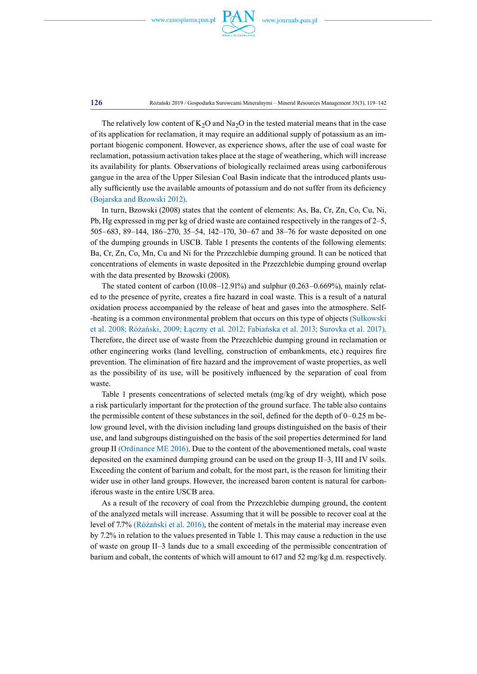

**126** Różański 2019 / Gospodarka Surowcami Mineralnymi – Mineral Resources Management 35(3), 119–142

The relatively low content of  $K_2O$  and  $Na_2O$  in the tested material means that in the case of its application for reclamation, it may require an additional supply of potassium as an important biogenic component. However, as experience shows, after the use of coal waste for reclamation, potassium activation takes place at the stage of weathering, which will increase its availability for plants. Observations of biologically reclaimed areas using carboniferous gangue in the area of the Upper Silesian Coal Basin indicate that the introduced plants usually sufficiently use the available amounts of potassium and do not suffer from its deficiency (Bojarska and Bzowski 2012).

In turn, Bzowski (2008) states that the content of elements: As, Ba, Cr, Zn, Co, Cu, Ni, Pb, Hg expressed in mg per kg of dried waste are contained respectively in the ranges of 2–5, 505–683, 89–144, 186–270, 35–54, 142–170, 30–67 and 38–76 for waste deposited on one of the dumping grounds in USCB. Table 1 presents the contents of the following elements: Ba, Cr, Zn, Co, Mn, Cu and Ni for the Przezchlebie dumping ground. It can be noticed that concentrations of elements in waste deposited in the Przezchlebie dumping ground overlap with the data presented by Bzowski (2008).

The stated content of carbon (10.08–12.91%) and sulphur (0.263–0.669%), mainly related to the presence of pyrite, creates a fire hazard in coal waste. This is a result of a natural oxidation process accompanied by the release of heat and gases into the atmosphere. Self- -heating is a common environmental problem that occurs on this type of objects (Sułkowski et al. 2008; Różański, 2009; Łączny et al. 2012; Fabiańska et al. 2013; Surovka et al. 2017). Therefore, the direct use of waste from the Przezchlebie dumping ground in reclamation or other engineering works (land levelling, construction of embankments, etc.) requires fire prevention. The elimination of fire hazard and the improvement of waste properties, as well as the possibility of its use, will be positively influenced by the separation of coal from waste.

Table 1 presents concentrations of selected metals (mg/kg of dry weight), which pose a risk particularly important for the protection of the ground surface. The table also contains the permissible content of these substances in the soil, defined for the depth of 0–0.25 m below ground level, with the division including land groups distinguished on the basis of their use, and land subgroups distinguished on the basis of the soil properties determined for land group II (Ordinance ME 2016). Due to the content of the abovementioned metals, coal waste deposited on the examined dumping ground can be used on the group II–3, III and IV soils. Exceeding the content of barium and cobalt, for the most part, is the reason for limiting their wider use in other land groups. However, the increased baron content is natural for carboniferous waste in the entire USCB area.

As a result of the recovery of coal from the Przezchlebie dumping ground, the content of the analyzed metals will increase. Assuming that it will be possible to recover coal at the level of 7.7% (Różański et al. 2016), the content of metals in the material may increase even by 7.2% in relation to the values presented in Table 1. This may cause a reduction in the use of waste on group II–3 lands due to a small exceeding of the permissible concentration of barium and cobalt, the contents of which will amount to 617 and 52 mg/kg d.m. respectively.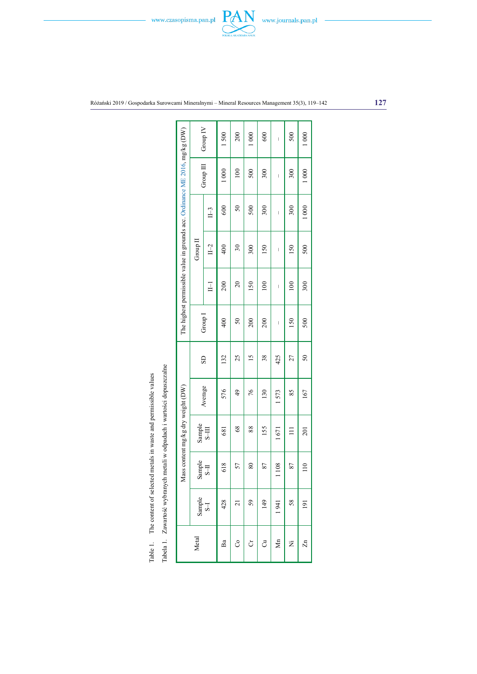

Różański 2019 / Gospodarka Surowcami Mineralnymi – Mineral Resources Management 35(3), 119–142 **127**

|                                                                                                                                           |  |                                                                             |                       | Group IV              | 1500          | 200                | 1000 | 600            | I                     | 500   | 1000             |
|-------------------------------------------------------------------------------------------------------------------------------------------|--|-----------------------------------------------------------------------------|-----------------------|-----------------------|---------------|--------------------|------|----------------|-----------------------|-------|------------------|
|                                                                                                                                           |  |                                                                             |                       | Group III             | 1000          | 100                | 500  | 300            | I                     | 300   | 1000             |
|                                                                                                                                           |  | The highest permissible value in grounds acc. Ordinance ME 2016, mg/kg (DW) |                       | $II-3$                | 600           | $50\,$             | 500  | 300            | I                     | 300   | 1000             |
|                                                                                                                                           |  |                                                                             | Group II              | $\Box$                | 400           | $\mathfrak{D}$     | 300  | 150            | I                     | 150   | 500              |
|                                                                                                                                           |  |                                                                             |                       | $\Xi$                 | 200           | 20                 | 150  | $\approx 0$    | I                     | 100   | 300              |
|                                                                                                                                           |  |                                                                             | Group 1               | 400                   | $\mathcal{S}$ | 200                | 200  | I              | 150                   | 500   |                  |
|                                                                                                                                           |  |                                                                             |                       | $\overline{\text{S}}$ | 132           | 25                 | 51   | 38             | 425                   | 27    | 50               |
| Iabela 1. Zawartość wybranych metali w odpadach i wartości dopuszczalne<br>The content of selected metals in waste and permissible values |  |                                                                             |                       | Average               | 576           | $\frac{1}{2}$      | 76   | 130            | 1573                  | 85    | 167              |
|                                                                                                                                           |  | Mass content mg/kg dry weight (DW)                                          | Sample                | $S-III$               | 681           | 68                 | 88   | 155            | 1671                  | $\Xi$ | 201              |
|                                                                                                                                           |  |                                                                             | Sample<br><b>S-II</b> |                       | 618           | 57                 | 80   | 87             | 1108                  | 87    | $\frac{1}{10}$   |
|                                                                                                                                           |  |                                                                             | Sample<br>S-I         |                       | 428           | $\bar{\mathsf{c}}$ | 59   | $\frac{49}{5}$ | 1941                  | 58    | $\overline{191}$ |
| Table 1.                                                                                                                                  |  |                                                                             | Metal                 |                       | Ba            | S                  | ð    | ්              | $\sum_{n=1}^{\infty}$ | Ż     | $\mathbb{Z}^n$   |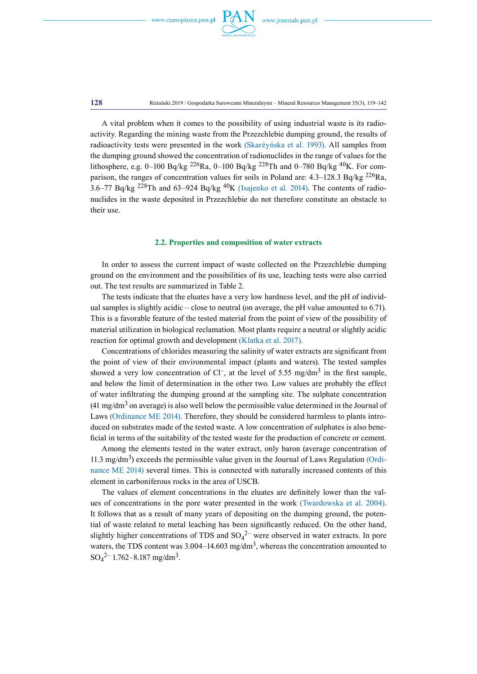

**128** Różański 2019 / Gospodarka Surowcami Mineralnymi – Mineral Resources Management 35(3), 119–142

A vital problem when it comes to the possibility of using industrial waste is its radioactivity. Regarding the mining waste from the Przezchlebie dumping ground, the results of radioactivity tests were presented in the work (Skarżyńska et al. 1993). All samples from the dumping ground showed the concentration of radionuclides in the range of values for the lithosphere, e.g. 0–100 Bq/kg <sup>226</sup>Ra, 0–100 Bq/kg <sup>228</sup>Th and 0–780 Bq/kg <sup>40</sup>K. For comparison, the ranges of concentration values for soils in Poland are:  $4.3-128.3$  Bq/kg  $^{226}$ Ra, 3.6–77 Bq/kg <sup>228</sup>Th and 63–924 Bq/kg <sup>40</sup>K (Isajenko et al. 2014). The contents of radionuclides in the waste deposited in Przezchlebie do not therefore constitute an obstacle to their use.

### **2.2. Properties and composition of water extracts**

In order to assess the current impact of waste collected on the Przezchlebie dumping ground on the environment and the possibilities of its use, leaching tests were also carried out. The test results are summarized in Table 2.

The tests indicate that the eluates have a very low hardness level, and the pH of individual samples is slightly acidic – close to neutral (on average, the pH value amounted to 6.71). This is a favorable feature of the tested material from the point of view of the possibility of material utilization in biological reclamation. Most plants require a neutral or slightly acidic reaction for optimal growth and development (Klatka et al. 2017).

Concentrations of chlorides measuring the salinity of water extracts are significant from the point of view of their environmental impact (plants and waters). The tested samples showed a very low concentration of  $Cl^-$ , at the level of 5.55 mg/dm<sup>3</sup> in the first sample, and below the limit of determination in the other two. Low values are probably the effect of water infiltrating the dumping ground at the sampling site. The sulphate concentration  $(41 \text{ mg/dm}^3)$  on average) is also well below the permissible value determined in the Journal of Laws (Ordinance ME 2014). Therefore, they should be considered harmless to plants introduced on substrates made of the tested waste. A low concentration of sulphates is also beneficial in terms of the suitability of the tested waste for the production of concrete or cement.

Among the elements tested in the water extract, only baron (average concentration of 11.3 mg/dm<sup>3</sup>) exceeds the permissible value given in the Journal of Laws Regulation (Ordinance ME 2014) several times. This is connected with naturally increased contents of this element in carboniferous rocks in the area of USCB.

The values of element concentrations in the eluates are definitely lower than the values of concentrations in the pore water presented in the work (Twardowska et al. 2004). It follows that as a result of many years of depositing on the dumping ground, the potential of waste related to metal leaching has been significantly reduced. On the other hand, slightly higher concentrations of TDS and  $SO_4^2$  were observed in water extracts. In pore waters, the TDS content was  $3.004-14.603$  mg/dm<sup>3</sup>, whereas the concentration amounted to  $SO_4^2$ <sup>-1.762–8.187 mg/dm<sup>3</sup>.</sup>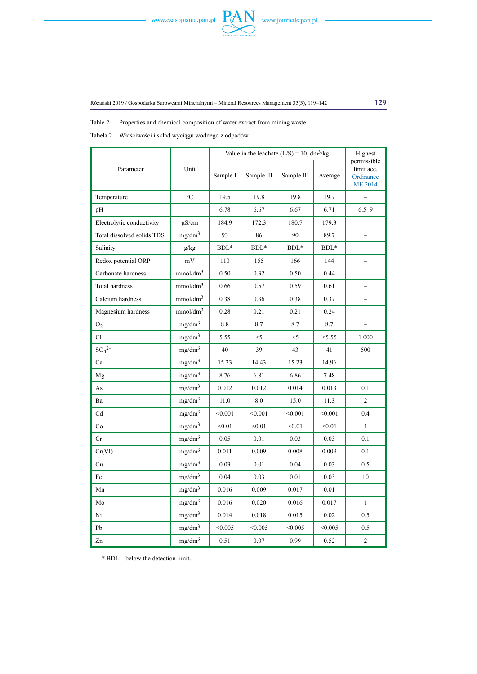



Table 2. Properties and chemical composition of water extract from mining waste

Tabela 2. Właściwości i skład wyciągu wodnego z odpadów

|                            |                      | Value in the leachate $(L/S) = 10$ , dm <sup>3</sup> /kg | Highest   |            |         |                                                          |
|----------------------------|----------------------|----------------------------------------------------------|-----------|------------|---------|----------------------------------------------------------|
| Parameter                  | Unit                 | Sample I                                                 | Sample II | Sample III | Average | permissible<br>limit acc.<br>Ordinance<br><b>ME 2014</b> |
| Temperature                | $^{\circ}{\rm C}$    | 19.5                                                     | 19.8      | 19.8       | 19.7    | $\overline{a}$                                           |
| pH                         |                      | 6.78                                                     | 6.67      | 6.67       | 6.71    | $6.5 - 9$                                                |
| Electrolytic conductivity  | $\mu$ S/cm           | 184.9                                                    | 172.3     | 180.7      | 179.3   | $\qquad \qquad -$                                        |
| Total dissolved solids TDS | mg/dm <sup>3</sup>   | 93                                                       | 86        | 90         | 89.7    |                                                          |
| Salinity                   | g/kg                 | $BDL*$                                                   | $BDL*$    | $BDL*$     | BDL*    |                                                          |
| Redox potential ORP        | mV                   | 110                                                      | 155       | 166        | 144     |                                                          |
| Carbonate hardness         | mmol/dm <sup>3</sup> | 0.50                                                     | 0.32      | 0.50       | 0.44    |                                                          |
| Total hardness             | mmol/dm <sup>3</sup> | 0.66                                                     | 0.57      | 0.59       | 0.61    | $\overline{\phantom{0}}$                                 |
| Calcium hardness           | mmol/dm <sup>3</sup> | 0.38                                                     | 0.36      | 0.38       | 0.37    | $\overline{\phantom{0}}$                                 |
| Magnesium hardness         | mmol/dm <sup>3</sup> | 0.28                                                     | 0.21      | 0.21       | 0.24    |                                                          |
| O <sub>2</sub>             | mg/dm <sup>3</sup>   | 8.8                                                      | 8.7       | 8.7        | 8.7     | $\overline{\phantom{0}}$                                 |
| $Cl^-$                     | mg/dm <sup>3</sup>   | 5.55                                                     | $<$ 5     | $<$ 5      | < 5.55  | 1 000                                                    |
| $SO_4^{2-}$                | mg/dm <sup>3</sup>   | 40                                                       | 39        | 43         | 41      | 500                                                      |
| Ca                         | mg/dm <sup>3</sup>   | 15.23                                                    | 14.43     | 15.23      | 14.96   | $\overline{\phantom{0}}$                                 |
| Mg                         | mg/dm <sup>3</sup>   | 8.76                                                     | 6.81      | 6.86       | 7.48    |                                                          |
| As                         | mg/dm <sup>3</sup>   | 0.012                                                    | 0.012     | 0.014      | 0.013   | 0.1                                                      |
| Ba                         | mg/dm <sup>3</sup>   | 11.0                                                     | 8.0       | 15.0       | 11.3    | $\overline{2}$                                           |
| Cd                         | mg/dm <sup>3</sup>   | < 0.001                                                  | < 0.001   | < 0.001    | < 0.001 | 0.4                                                      |
| Co                         | mg/dm <sup>3</sup>   | < 0.01                                                   | < 0.01    | < 0.01     | < 0.01  | $\mathbf{1}$                                             |
| Cr                         | mg/dm <sup>3</sup>   | 0.05                                                     | 0.01      | 0.03       | 0.03    | 0.1                                                      |
| Cr(VI)                     | mg/dm <sup>3</sup>   | 0.011                                                    | 0.009     | 0.008      | 0.009   | 0.1                                                      |
| Cu                         | mg/dm <sup>3</sup>   | 0.03                                                     | 0.01      | 0.04       | 0.03    | 0.5                                                      |
| Fe                         | mg/dm <sup>3</sup>   | 0.04                                                     | 0.03      | 0.01       | 0.03    | 10                                                       |
| Mn                         | mg/dm <sup>3</sup>   | 0.016                                                    | 0.009     | 0.017      | 0.01    | $\equiv$                                                 |
| Mo                         | mg/dm <sup>3</sup>   | 0.016                                                    | 0.020     | 0.016      | 0.017   | $\mathbf{1}$                                             |
| Ni                         | mg/dm <sup>3</sup>   | 0.014                                                    | 0.018     | 0.015      | 0.02    | 0.5                                                      |
| Pb                         | mg/dm <sup>3</sup>   | < 0.005                                                  | < 0.005   | < 0.005    | < 0.005 | 0.5                                                      |
| Zn                         | mg/dm <sup>3</sup>   | 0.51                                                     | 0.07      | 0.99       | 0.52    | $\overline{c}$                                           |

\* BDL – below the detection limit.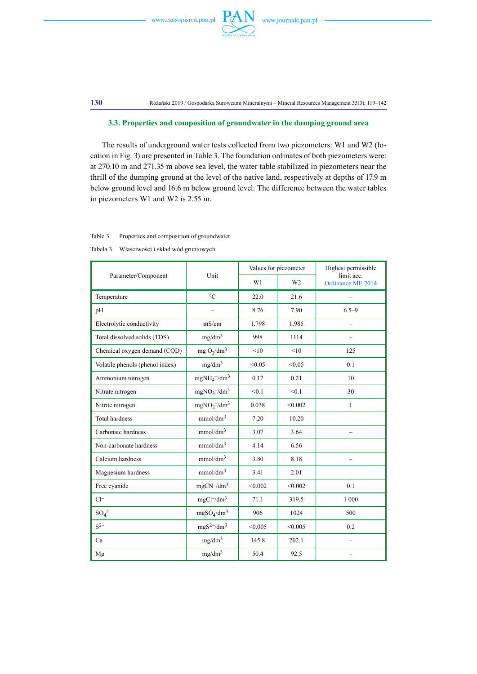

**130** Różański 2019 / Gospodarka Surowcami Mineralnymi – Mineral Resources Management 35(3), 119–142

#### **3.3. Properties and composition of groundwater in the dumping ground area**

The results of underground water tests collected from two piezometers: W1 and W2 (location in Fig. 3) are presented in Table 3. The foundation ordinates of both piezometers were: at 270.10 m and 271.35 m above sea level, the water table stabilized in piezometers near the thrill of the dumping ground at the level of the native land, respectively at depths of 17.9 m below ground level and 16.6 m below ground level. The difference between the water tables in piezometers W1 and W2 is 2.55 m.

| Table 3.<br>Properties and composition of groundwater |  |
|-------------------------------------------------------|--|
|                                                       |  |

Tabela 3. Właściwości i skład wód gruntowych

|                                 | Values for piezometer                |         |                | Highest permissible             |  |
|---------------------------------|--------------------------------------|---------|----------------|---------------------------------|--|
| Parameter/Component             | Unit                                 | W1      | W <sub>2</sub> | limit acc.<br>Ordinance ME 2014 |  |
| Temperature                     | $\rm ^{\circ}C$                      | 22.0    | 21.6           |                                 |  |
| pH                              |                                      | 8.76    | 7.90           | $6.5 - 9$                       |  |
| Electrolytic conductivity       | mS/cm                                | 1.798   | 1.985          |                                 |  |
| Total dissolved solids (TDS)    | mg/dm <sup>3</sup>                   | 998     | 1114           |                                 |  |
| Chemical oxygen demand (COD)    | mg $O_2/dm^3$                        | <10     | <10            | 125                             |  |
| Volatile phenols (phenol index) | mg/dm <sup>3</sup>                   | < 0.05  | < 0.05         | 0.1                             |  |
| Ammonium nitrogen               | $mgNH_4^+ / dm^3$                    | 0.17    | 0.21           | 10                              |  |
| Nitrate nitrogen                | $mgNO_3$ <sup>-/dm<sup>3</sup></sup> | < 0.1   | < 0.1          | 30                              |  |
| Nitrite nitrogen                | $mgNO2$ /dm <sup>3</sup>             | 0.038   | < 0.002        | 1                               |  |
| <b>Total hardness</b>           | mmol/dm <sup>3</sup>                 | 7.20    | 10.20          |                                 |  |
| Carbonate hardness              | mmol/dm <sup>3</sup>                 | 3.07    | 3.64           |                                 |  |
| Non-carbonate hardness          | mmol/dm <sup>3</sup>                 | 4.14    | 6.56           |                                 |  |
| Calcium hardness                | mmol/dm <sup>3</sup>                 | 3.80    | 8.18           |                                 |  |
| Magnesium hardness              | mmol/dm <sup>3</sup>                 | 3.41    | 2.01           |                                 |  |
| Free cyanide                    | $mgCN^{-}/dm^{3}$                    | < 0.002 | < 0.002        | 0.1                             |  |
| $Cl^-$                          | $mgCl^{-}/dm^{3}$                    | 71.1    | 319.5          | 1 000                           |  |
| $SO_4^{2-}$                     | $mgSO_4/dm^3$                        | 906     | 1024           | 500                             |  |
| $S^{2-}$                        | $mgS^2$ -/dm <sup>3</sup>            | < 0.005 | < 0.005        | 0.2                             |  |
| Ca                              | mg/dm <sup>3</sup>                   | 145.8   | 202.1          |                                 |  |
| Mg                              | mg/dm <sup>3</sup>                   | 50.4    | 92.5           |                                 |  |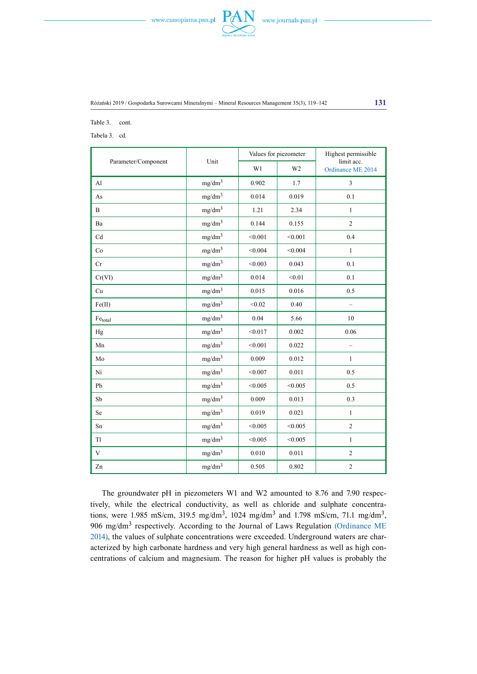



Table 3. cont.

Tabela 3. cd.

|                     |                    |         | Values for piezometer | Highest permissible             |
|---------------------|--------------------|---------|-----------------------|---------------------------------|
| Parameter/Component | Unit               | W1      | W <sub>2</sub>        | limit acc.<br>Ordinance ME 2014 |
| Al                  | mg/dm <sup>3</sup> | 0.902   | 1.7                   | $\overline{3}$                  |
| As                  | mg/dm <sup>3</sup> | 0.014   | 0.019                 | 0.1                             |
| $\bf{B}$            | mg/dm <sup>3</sup> | 1.21    | 2.34                  | $\mathbf{1}$                    |
| Ba                  | mg/dm <sup>3</sup> | 0.144   | 0.155                 | $\overline{c}$                  |
| Cd                  | mg/dm <sup>3</sup> | < 0.001 | < 0.001               | 0.4                             |
| Co                  | mg/dm <sup>3</sup> | < 0.004 | < 0.004               | $\mathbf{1}$                    |
| Cr                  | mg/dm <sup>3</sup> | < 0.003 | 0.043                 | 0.1                             |
| Cr(VI)              | mg/dm <sup>3</sup> | 0.014   | < 0.01                | 0.1                             |
| Cu                  | mg/dm <sup>3</sup> | 0.015   | 0.016                 | 0.5                             |
| Fe(II)              | mg/dm <sup>3</sup> | < 0.02  | 0.40                  | $\overline{\phantom{0}}$        |
| $\rm Fe_{total}$    | mg/dm <sup>3</sup> | 0.04    | 5.66                  | 10                              |
| Hg                  | mg/dm <sup>3</sup> | < 0.017 | 0.002                 | 0.06                            |
| Mn                  | mg/dm <sup>3</sup> | < 0.001 | 0.022                 | $\qquad \qquad -$               |
| Mo                  | mg/dm <sup>3</sup> | 0.009   | 0.012                 | $\mathbf{1}$                    |
| Ni                  | mg/dm <sup>3</sup> | < 0.007 | 0.011                 | 0.5                             |
| Pb                  | mg/dm <sup>3</sup> | < 0.005 | < 0.005               | 0.5                             |
| Sb                  | mg/dm <sup>3</sup> | 0.009   | 0.013                 | 0.3                             |
| Se                  | mg/dm <sup>3</sup> | 0.019   | 0.021                 | $\mathbf{1}$                    |
| Sn                  | mg/dm <sup>3</sup> | < 0.005 | < 0.005               | $\overline{c}$                  |
| Tl                  | mg/dm <sup>3</sup> | < 0.005 | < 0.005               | $\mathbf{1}$                    |
| $\mathbf V$         | mg/dm <sup>3</sup> | 0.010   | 0.011                 | $\sqrt{2}$                      |
| Zn                  | mg/dm <sup>3</sup> | 0.505   | 0.802                 | $\sqrt{2}$                      |

The groundwater pH in piezometers W1 and W2 amounted to 8.76 and 7.90 respectively, while the electrical conductivity, as well as chloride and sulphate concentrations, were 1.985 mS/cm, 319.5 mg/dm<sup>3</sup>, 1024 mg/dm<sup>3</sup> and 1.798 mS/cm, 71.1 mg/dm<sup>3</sup>, 906 mg/dm<sup>3</sup> respectively. According to the Journal of Laws Regulation (Ordinance ME 2014), the values of sulphate concentrations were exceeded. Underground waters are characterized by high carbonate hardness and very high general hardness as well as high concentrations of calcium and magnesium. The reason for higher pH values is probably the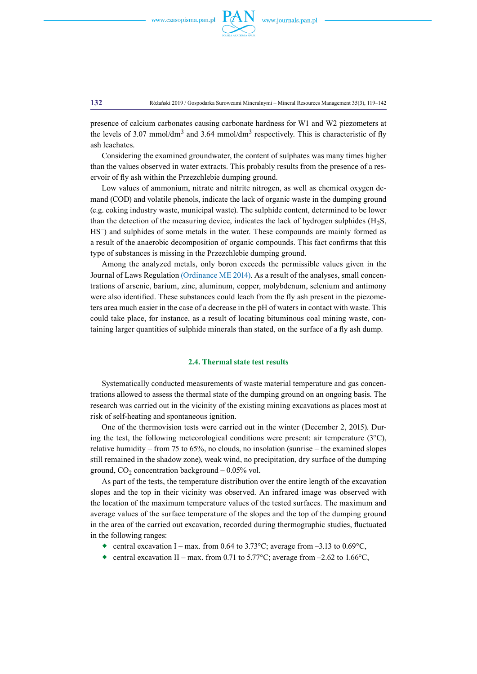

**132** Różański 2019 / Gospodarka Surowcami Mineralnymi – Mineral Resources Management 35(3), 119–142

presence of calcium carbonates causing carbonate hardness for W1 and W2 piezometers at the levels of 3.07 mmol/dm<sup>3</sup> and 3.64 mmol/dm<sup>3</sup> respectively. This is characteristic of fly ash leachates.

Considering the examined groundwater, the content of sulphates was many times higher than the values observed in water extracts. This probably results from the presence of a reservoir of fly ash within the Przezchlebie dumping ground.

Low values of ammonium, nitrate and nitrite nitrogen, as well as chemical oxygen demand (COD) and volatile phenols, indicate the lack of organic waste in the dumping ground (e.g. coking industry waste, municipal waste). The sulphide content, determined to be lower than the detection of the measuring device, indicates the lack of hydrogen sulphides  $(H<sub>2</sub>S)$ , HS–) and sulphides of some metals in the water. These compounds are mainly formed as a result of the anaerobic decomposition of organic compounds. This fact confirms that this type of substances is missing in the Przezchlebie dumping ground.

Among the analyzed metals, only boron exceeds the permissible values given in the Journal of Laws Regulation (Ordinance ME 2014). As a result of the analyses, small concentrations of arsenic, barium, zinc, aluminum, copper, molybdenum, selenium and antimony were also identified. These substances could leach from the fly ash present in the piezometers area much easier in the case of a decrease in the pH of waters in contact with waste. This could take place, for instance, as a result of locating bituminous coal mining waste, containing larger quantities of sulphide minerals than stated, on the surface of a fly ash dump.

#### **2.4. Thermal state test results**

Systematically conducted measurements of waste material temperature and gas concentrations allowed to assess the thermal state of the dumping ground on an ongoing basis. The research was carried out in the vicinity of the existing mining excavations as places most at risk of self-heating and spontaneous ignition.

One of the thermovision tests were carried out in the winter (December 2, 2015). During the test, the following meteorological conditions were present: air temperature  $(3^{\circ}C)$ , relative humidity – from 75 to 65%, no clouds, no insolation (sunrise – the examined slopes still remained in the shadow zone), weak wind, no precipitation, dry surface of the dumping ground,  $CO<sub>2</sub>$  concentration background  $-0.05\%$  vol.

As part of the tests, the temperature distribution over the entire length of the excavation slopes and the top in their vicinity was observed. An infrared image was observed with the location of the maximum temperature values of the tested surfaces. The maximum and average values of the surface temperature of the slopes and the top of the dumping ground in the area of the carried out excavation, recorded during thermographic studies, fluctuated in the following ranges:

- central excavation I max. from 0.64 to 3.73 °C; average from –3.13 to 0.69 °C,
- central excavation II max. from 0.71 to 5.77 °C; average from  $-2.62$  to 1.66 °C.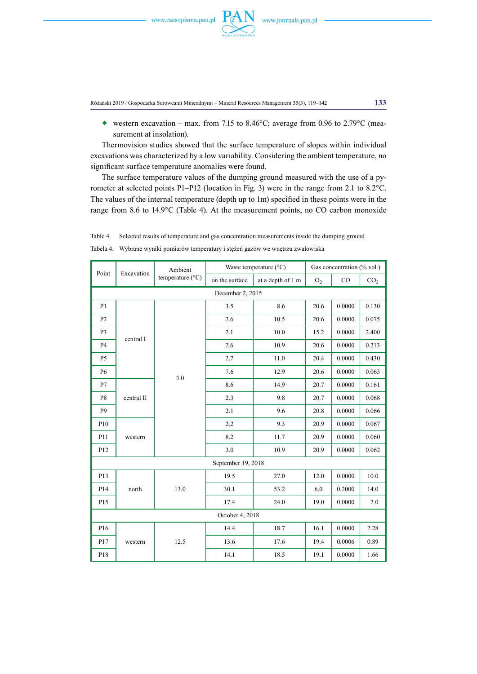

Różański 2019 / Gospodarka Surowcami Mineralnymi – Mineral Resources Management 35(3), 119–142 **133**

western excavation – max. from 7.15 to 8.46 $^{\circ}$ C; average from 0.96 to 2.79 $^{\circ}$ C (measurement at insolation).

Thermovision studies showed that the surface temperature of slopes within individual excavations was characterized by a low variability. Considering the ambient temperature, no significant surface temperature anomalies were found.

The surface temperature values of the dumping ground measured with the use of a pyrometer at selected points P1–P12 (location in Fig. 3) were in the range from 2.1 to 8.2°C. The values of the internal temperature (depth up to 1m) specified in these points were in the range from 8.6 to 14.9°C (Table 4). At the measurement points, no CO carbon monoxide

| Point            |            | Ambient                   |                    | Waste temperature $(^{\circ}C)$<br>Gas concentration (% vol.) |                |        |                 |  |  |
|------------------|------------|---------------------------|--------------------|---------------------------------------------------------------|----------------|--------|-----------------|--|--|
|                  | Excavation | temperature $(^{\circ}C)$ | on the surface     | at a depth of 1 m                                             | O <sub>2</sub> | CO     | CO <sub>2</sub> |  |  |
| December 2, 2015 |            |                           |                    |                                                               |                |        |                 |  |  |
| P1               |            |                           | 3.5                | 8.6                                                           | 20.6           | 0.0000 | 0.130           |  |  |
| P2               |            |                           | 2.6                | 10.5                                                          | 20.6           | 0.0000 | 0.075           |  |  |
| P <sub>3</sub>   | central I  |                           | 2.1                | 10.0                                                          | 15.2           | 0.0000 | 2.400           |  |  |
| <b>P4</b>        |            |                           | 2.6                | 10.9                                                          | 20.6           | 0.0000 | 0.213           |  |  |
| P <sub>5</sub>   |            |                           | 2.7                | 11.0                                                          | 20.4           | 0.0000 | 0.430           |  |  |
| <b>P6</b>        |            |                           | 7.6                | 12.9                                                          | 20.6           | 0.0000 | 0.063           |  |  |
| P7               |            | 3.0                       | 8.6                | 14.9                                                          | 20.7           | 0.0000 | 0.161           |  |  |
| P <sub>8</sub>   | central II |                           | 2.3                | 9.8                                                           | 20.7           | 0.0000 | 0.068           |  |  |
| P9               |            |                           | 2.1                | 9.6                                                           | 20.8           | 0.0000 | 0.066           |  |  |
| P <sub>10</sub>  |            |                           | 2.2                | 9.3                                                           | 20.9           | 0.0000 | 0.067           |  |  |
| P11              | western    |                           | 8.2                | 11.7                                                          | 20.9           | 0.0000 | 0.060           |  |  |
| P <sub>12</sub>  |            |                           | 3.0                | 10.9                                                          | 20.9           | 0.0000 | 0.062           |  |  |
|                  |            |                           | September 19, 2018 |                                                               |                |        |                 |  |  |
| P13              |            |                           | 19.5               | 27.0                                                          | 12.0           | 0.0000 | 10.0            |  |  |
| P14              | north      | 13.0                      | 30.1               | 53.2                                                          | 6.0            | 0.2000 | 14.0            |  |  |
| P15              |            |                           | 17.4               | 24.0                                                          | 19.0           | 0.0000 | 2.0             |  |  |
|                  |            |                           | October 4, 2018    |                                                               |                |        |                 |  |  |
| P <sub>16</sub>  |            |                           | 14.4               | 18.7                                                          | 16.1           | 0.0000 | 2.28            |  |  |
| P17              | western    | 12.5                      | 13.6               | 17.6                                                          | 19.4           | 0.0006 | 0.89            |  |  |
| P18              |            |                           | 14.1               | 18.5                                                          | 19.1           | 0.0000 | 1.66            |  |  |

Tabela 4. Wybrane wyniki pomiarów temperatury i stężeń gazów we wnętrzu zwałowiska

Table 4. Selected results of temperature and gas concentration measurements inside the dumping ground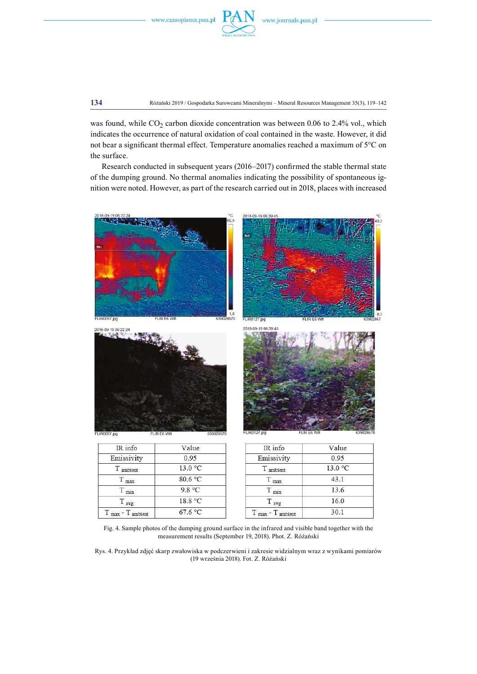

**134** Różański 2019 / Gospodarka Surowcami Mineralnymi – Mineral Resources Management 35(3), 119–142

was found, while  $CO_2$  carbon dioxide concentration was between 0.06 to 2.4% vol., which indicates the occurrence of natural oxidation of coal contained in the waste. However, it did not bear a significant thermal effect. Temperature anomalies reached a maximum of 5°C on the surface.

Research conducted in subsequent years (2016–2017) confirmed the stable thermal state of the dumping ground. No thermal anomalies indicating the possibility of spontaneous ignition were noted. However, as part of the research carried out in 2018, places with increased



| пунно                                 | v alue  |
|---------------------------------------|---------|
| Emissivity                            | 0.95    |
| T ambient                             | 13.0 °C |
| $T_{\text{max}}$                      | 80.6 °C |
| $T_{min}$                             | 9.8 °C  |
| $T_{avg}$                             | 18.8 °C |
| $T_{\text{max}} - T_{\text{ambient}}$ | 67.6 °C |

 $13.0 °C$ T ambient  $43.1$  $T_{max}$  $T_{min}$ 13.6 T avg 16.0  $T_{\text{max}} - T_{\text{ambient}}$  $30.1$ 

Fig. 4. Sample photos of the dumping ground surface in the infrared and visible band together with the measurement results (September 19, 2018). Phot. Z. Różański

Rys. 4. Przykład zdjęć skarp zwałowiska w podczerwieni i zakresie widzialnym wraz z wynikami pomiarów (19 września 2018). Fot. Z. Różański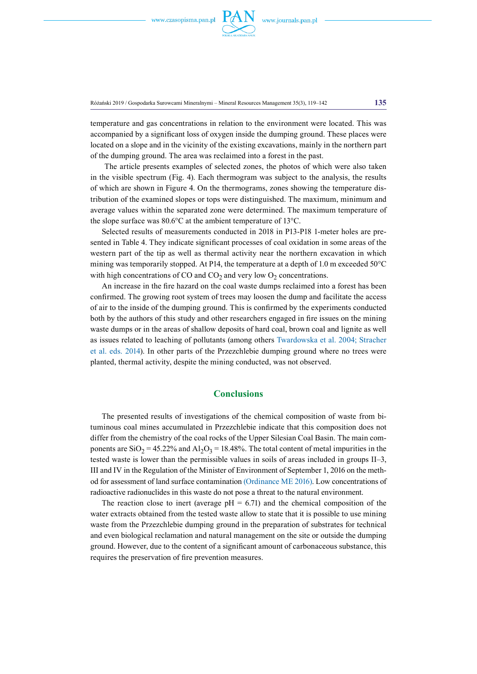

Różański 2019 / Gospodarka Surowcami Mineralnymi – Mineral Resources Management 35(3), 119–142 **135**

temperature and gas concentrations in relation to the environment were located. This was accompanied by a significant loss of oxygen inside the dumping ground. These places were located on a slope and in the vicinity of the existing excavations, mainly in the northern part of the dumping ground. The area was reclaimed into a forest in the past.

 The article presents examples of selected zones, the photos of which were also taken in the visible spectrum (Fig. 4). Each thermogram was subject to the analysis, the results of which are shown in Figure 4. On the thermograms, zones showing the temperature distribution of the examined slopes or tops were distinguished. The maximum, minimum and average values within the separated zone were determined. The maximum temperature of the slope surface was 80.6°C at the ambient temperature of 13°C.

Selected results of measurements conducted in 2018 in P13-P18 1-meter holes are presented in Table 4. They indicate significant processes of coal oxidation in some areas of the western part of the tip as well as thermal activity near the northern excavation in which mining was temporarily stopped. At P14, the temperature at a depth of 1.0 m exceeded 50°C with high concentrations of CO and  $CO<sub>2</sub>$  and very low  $O<sub>2</sub>$  concentrations.

An increase in the fire hazard on the coal waste dumps reclaimed into a forest has been confirmed. The growing root system of trees may loosen the dump and facilitate the access of air to the inside of the dumping ground. This is confirmed by the experiments conducted both by the authors of this study and other researchers engaged in fire issues on the mining waste dumps or in the areas of shallow deposits of hard coal, brown coal and lignite as well as issues related to leaching of pollutants (among others Twardowska et al. 2004; Stracher et al. eds. 2014). In other parts of the Przezchlebie dumping ground where no trees were planted, thermal activity, despite the mining conducted, was not observed.

### **Conclusions**

The presented results of investigations of the chemical composition of waste from bituminous coal mines accumulated in Przezchlebie indicate that this composition does not differ from the chemistry of the coal rocks of the Upper Silesian Coal Basin. The main components are  $SiO_2 = 45.22\%$  and  $Al_2O_3 = 18.48\%$ . The total content of metal impurities in the tested waste is lower than the permissible values in soils of areas included in groups II–3, III and IV in the Regulation of the Minister of Environment of September 1, 2016 on the method for assessment of land surface contamination (Ordinance ME 2016). Low concentrations of radioactive radionuclides in this waste do not pose a threat to the natural environment.

The reaction close to inert (average  $pH = 6.71$ ) and the chemical composition of the water extracts obtained from the tested waste allow to state that it is possible to use mining waste from the Przezchlebie dumping ground in the preparation of substrates for technical and even biological reclamation and natural management on the site or outside the dumping ground. However, due to the content of a significant amount of carbonaceous substance, this requires the preservation of fire prevention measures.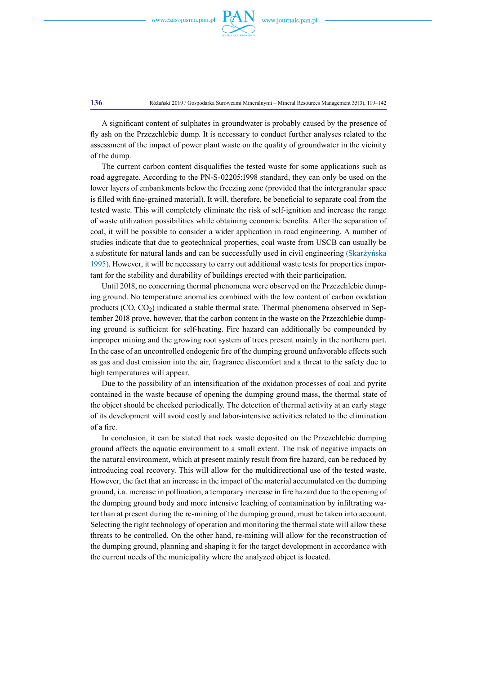

**136** Różański 2019 / Gospodarka Surowcami Mineralnymi – Mineral Resources Management 35(3), 119–142

A significant content of sulphates in groundwater is probably caused by the presence of fly ash on the Przezchlebie dump. It is necessary to conduct further analyses related to the assessment of the impact of power plant waste on the quality of groundwater in the vicinity of the dump.

The current carbon content disqualifies the tested waste for some applications such as road aggregate. According to the PN-S-02205:1998 standard, they can only be used on the lower layers of embankments below the freezing zone (provided that the intergranular space is filled with fine-grained material). It will, therefore, be beneficial to separate coal from the tested waste. This will completely eliminate the risk of self-ignition and increase the range of waste utilization possibilities while obtaining economic benefits. After the separation of coal, it will be possible to consider a wider application in road engineering. A number of studies indicate that due to geotechnical properties, coal waste from USCB can usually be a substitute for natural lands and can be successfully used in civil engineering (Skarżyńska 1995). However, it will be necessary to carry out additional waste tests for properties important for the stability and durability of buildings erected with their participation.

Until 2018, no concerning thermal phenomena were observed on the Przezchlebie dumping ground. No temperature anomalies combined with the low content of carbon oxidation products  $(CO, CO<sub>2</sub>)$  indicated a stable thermal state. Thermal phenomena observed in September 2018 prove, however, that the carbon content in the waste on the Przezchlebie dumping ground is sufficient for self-heating. Fire hazard can additionally be compounded by improper mining and the growing root system of trees present mainly in the northern part. In the case of an uncontrolled endogenic fire of the dumping ground unfavorable effects such as gas and dust emission into the air, fragrance discomfort and a threat to the safety due to high temperatures will appear.

Due to the possibility of an intensification of the oxidation processes of coal and pyrite contained in the waste because of opening the dumping ground mass, the thermal state of the object should be checked periodically. The detection of thermal activity at an early stage of its development will avoid costly and labor-intensive activities related to the elimination of a fire.

In conclusion, it can be stated that rock waste deposited on the Przezchlebie dumping ground affects the aquatic environment to a small extent. The risk of negative impacts on the natural environment, which at present mainly result from fire hazard, can be reduced by introducing coal recovery. This will allow for the multidirectional use of the tested waste. However, the fact that an increase in the impact of the material accumulated on the dumping ground, i.a. increase in pollination, a temporary increase in fire hazard due to the opening of the dumping ground body and more intensive leaching of contamination by infiltrating water than at present during the re-mining of the dumping ground, must be taken into account. Selecting the right technology of operation and monitoring the thermal state will allow these threats to be controlled. On the other hand, re-mining will allow for the reconstruction of the dumping ground, planning and shaping it for the target development in accordance with the current needs of the municipality where the analyzed object is located.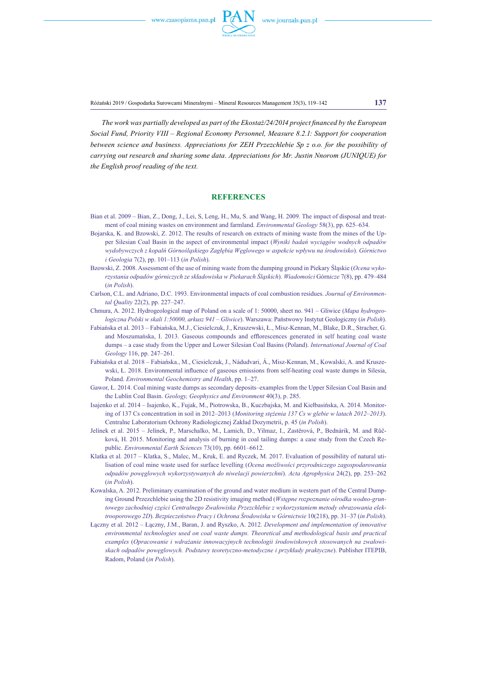

Różański 2019 / Gospodarka Surowcami Mineralnymi – Mineral Resources Management 35(3), 119–142 **137**

*The work was partially developed as part of the Ekostaż/24/2014 project financed by the European Social Fund, Priority VIII – Regional Economy Personnel, Measure 8.2.1: Support for cooperation between science and business. Appreciations for ZEH Przezchlebie Sp z o.o. for the possibility of carrying out research and sharing some data. Appreciations for Mr. Justin Nnorom (JUNIQUE) for the English proof reading of the text.*

#### **References**

- Bian et al. 2009 Bian, Z., Dong, J., Lei, S, Leng, H., Mu, S. and Wang, H. 2009. The impact of disposal and treatment of coal mining wastes on environment and farmland. *Environmental Geology* 58(3), pp. 625–634.
- Bojarska, K. and Bzowski, Z. 2012. The results of research on extracts of mining waste from the mines of the Upper Silesian Coal Basin in the aspect of environmental impact (*Wyniki badań wyciągów wodnych odpadów wydobywczych z kopalń Górnośląskiego Zagłębia Węglowego w aspekcie wpływu na środowisko*). *Górnictwo i Geologia* 7(2), pp. 101–113 (*in Polish*).
- Bzowski, Z. 2008. Assessment of the use of mining waste from the dumping ground in Piekary Śląskie (*Ocena wykorzystania odpadów górniczych ze składowiska w Piekarach Śląskich*). *Wiadomości* Górn*icze* 7(8), pp. 479–484 (*in Polish*).
- Carlson, C.L. and Adriano, D.C. 1993. Environmental impacts of coal combustion residues. *Journal of Environmental Quality* 22(2), pp. 227–247.
- Chmura, A. 2012. Hydrogeological map of Poland on a scale of 1: 50000, sheet no. 941 Gliwice (*Mapa hydrogeologiczna Polski w skali 1:50000, arkusz 941 – Gliwice*). Warszawa: Państwowy Instytut Geologiczny (*in Polish*).
- Fabiańska et al. 2013 Fabiańska, M.J., Ciesielczuk, J., Kruszewski, Ł., Misz-Kennan, M., Blake, D.R., Stracher, G. and Moszumańska, I. 2013. Gaseous compounds and efflorescences generated in self heating coal waste dumps – a case study from the Upper and Lower Silesian Coal Basins (Poland). *International Journal of Coal Geology* 116, pp. 247–261.
- Fabiańska et al. 2018 Fabiańska., M., Ciesielczuk, J., Nádudvari, Á., Misz-Kennan, M., Kowalski, A. and Kruszewski, Ł. 2018. Environmental influence of gaseous emissions from self-heating coal waste dumps in Silesia, Poland. *Environmental Geochemistry and Health*, pp. 1–27.
- Gawor, Ł. 2014. Coal mining waste dumps as secondary deposits–examples from the Upper Silesian Coal Basin and the Lublin Coal Basin. *Geology, Geophysics and Environment* 40(3), p. 285.
- Isajenko et al. 2014 Isajenko, K., Fujak, M., Piotrowska, B., Kuczbajska, M. and Kiełbasińska, A. 2014. Monitoring of 137 Cs concentration in soil in 2012–2013 (*Monitoring stężenia 137 Cs w glebie w latach 2012–2013*). Centralne Laboratorium Ochrony Radiologicznej Zakład Dozymetrii, p. 45 (*in Polish*).
- Jelínek et al. 2015 Jelínek, P., Marschalko, M., Lamich, D., Yilmaz, I., Zastěrová, P., Bednárik, M. and Růčková, H. 2015. Monitoring and analysis of burning in coal tailing dumps: a case study from the Czech Republic. *Environmental Earth Sciences* 73(10), pp. 6601–6612.
- Klatka et al. 2017 Klatka, S., Malec, M., Kruk, E. and Ryczek, M. 2017. Evaluation of possibility of natural utilisation of coal mine waste used for surface levelling (*Ocena możliwości przyrodniczego zagospodarowania odpadów powęglowych wykorzystywanych do niwelacji powierzchni*). *Acta Agrophysica* 24(2), pp. 253–262 (*in Polish*).
- Kowalska, A. 2012. Preliminary examination of the ground and water medium in western part of the Central Dumping Ground Przezchlebie using the 2D resistivity imaging method (*Wstępne rozpoznanie ośrodka wodno-gruntowego zachodniej części Centralnego Zwałowiska Przezchlebie z wykorzystaniem metody obrazowania elektrooporowego 2D*). *Bezpieczeństwo Pracy i Ochrona Środowiska w Górnictwie* 10(218), pp. 31–37 (*in Polish*).
- Łączny et al. 2012 Łączny, J.M., Baran, J. and Ryszko, A. 2012. *Development and implementation of innovative environmental technologies used on coal waste dumps. Theoretical and methodological basis and practical examples* (*Opracowanie i wdrażanie innowacyjnych technologii środowiskowych stosowanych na zwałowiskach odpadów powęglowych. Podstawy teoretyczno-metodyczne i przykłady praktyczne*). Publisher ITEPIB, Radom, Poland (*in Polish*).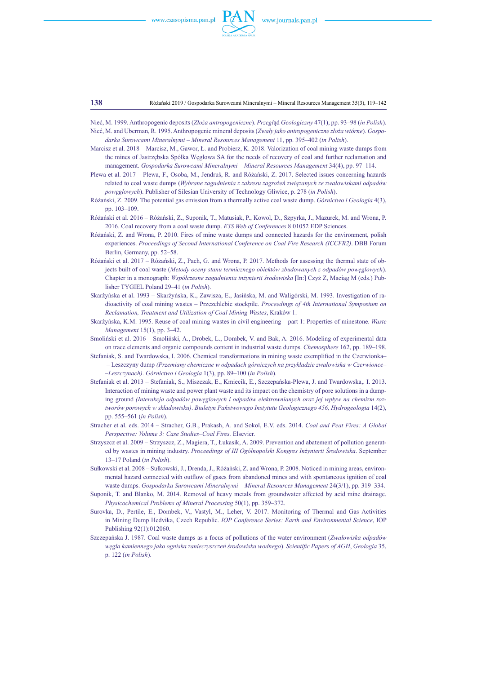

**138** Różański 2019 / Gospodarka Surowcami Mineralnymi – Mineral Resources Management 35(3), 119–142

Nieć, M. 1999. Anthropogenic deposits (*Złoża antropogeniczne*). *Przegl*ąd *Geologiczny* 47(1), pp. 93–98 (*in Polish*). Nieć, M. and Uberman, R. 1995. Anthropogenic minerał deposits (*Zwały jako antropogeniczne złoża wtórne*). *Gospo-*

*darka Surowcami Mineralnymi – Mineral Resources Management* 11, pp. 395–402 (*in Polish*). Marcisz et al. 2018 – Marcisz, M., Gawor, Ł. and Probierz, K. 2018. Valorization of coal mining waste dumps from

the mines of Jastrzębska Spółka Węglowa SA for the needs of recovery of coal and further reclamation and management. *Gospodarka Surowcami Mineralnymi – Mineral Resources Management* 34(4), pp. 97–114.

Plewa et al. 2017 – Plewa, F., Osoba, M., Jendruś, R. and Różański, Z. 2017. Selected issues concerning hazards related to coal waste dumps (*Wybrane zagadnienia z zakresu zagrożeń związanych ze zwałowiskami odpadów powęglowych*). Publisher of Silesian University of Technology Gliwice, p. 278 (*in Polish*).

Różański, Z. 2009. The potential gas emission from a thermally active coal waste dump. *Górnictwo i Geologia* 4(3), pp. 103–109.

Różański et al. 2016 – Różański, Z., Suponik, T., Matusiak, P., Kowol, D., Szpyrka, J., Mazurek, M. and Wrona, P. 2016. Coal recovery from a coal waste dump. *E3S Web of Conferences* 8 01052 EDP Sciences.

- Różański, Z. and Wrona, P. 2010. Fires of mine waste dumps and connected hazards for the environment, polish experiences. *Proceedings of Second International Conference on Coal Fire Research (ICCFR2)*. DBB Forum Berlin, Germany, pp. 52–58.
- Różański et al. 2017 Różański, Z., Pach, G. and Wrona, P. 2017. Methods for assessing the thermal state of objects built of coal waste (*Metody oceny stanu termicznego obiektów zbudowanych z odpadów powęglowych*). Chapter in a monograph: *Współczesne zagadnienia inżynierii środowiska* [In:] Czyż Z, Maciąg M (eds.) Publisher TYGIEL Poland 29–41 (*in Polish*).
- Skarżyńska et al. 1993 Skarżyńska, K., Zawisza, E., Jasińska, M. and Waligórski, M. 1993. Investigation of radioactivity of coal mining wastes – Przezchlebie stockpile. *Proceedings of 4th International Symposium on Reclamation, Treatment and Utilization of Coal Mining Wastes*, Kraków 1.
- Skarżyńska, K.M. 1995. Reuse of coal mining wastes in civil engineering part 1: Properties of minestone. *Waste Management* 15(1), pp. 3–42.
- Smoliński et al. 2016 Smoliński, A., Drobek, L., Dombek, V. and Bak, A. 2016. Modeling of experimental data on trace elements and organic compounds content in industrial waste dumps. *Chemosphere* 162, pp. 189–198.
- Stefaniak, S. and Twardowska, I. 2006. Chemical transformations in mining waste exemplified in the Czerwionka– – Leszczyny dump *(Przemiany chemiczne w odpadach górniczych na przykładzie zwałowiska w Czerwionce– –Leszczynach)*. *Górnictwo i Geologia* 1(3), pp. 89–100 (*in Polish*).
- Stefaniak et al. 2013 Stefaniak, S., Miszczak, E., Kmiecik, E., Szczepańska-Plewa, J. and Twardowska,. I. 2013. Interaction of mining waste and power plant waste and its impact on the chemistry of pore solutions in a dumping ground *(Interakcja odpadów powęglowych i odpadów elektrownianych oraz jej wpływ na chemizm roztworów porowych w składowisku)*. *Biuletyn Państwowego Instytutu Geologicznego 456, Hydrogeologia* 14(2), pp. 555–561 (*in Polish*).
- Stracher et al. eds. 2014 Stracher, G.B., Prakash, A. and Sokol, E.V. eds. 2014. *Coal and Peat Fires: A Global Perspective: Volume 3: Case Studies–Coal Fires.* Elsevier.
- Strzyszcz et al. 2009 Strzyszcz, Z., Magiera, T., Łukasik, A. 2009. Prevention and abatement of pollution generated by wastes in mining industry. *Proceedings of III Ogólnopolski Kongres Inżynierii Środowiska*. September 13–17 Poland (*in Polish*).
- Sułkowski et al. 2008 Sułkowski, J., Drenda, J., Różański, Z. and Wrona, P. 2008. Noticed in mining areas, environmental hazard connected with outflow of gases from abandoned mines and with spontaneous ignition of coal waste dumps. *Gospodarka Surowcami Mineralnymi – Mineral Resources Management* 24(3/1), pp. 319–334.
- Suponik, T. and Blanko, M. 2014. Removal of heavy metals from groundwater affected by acid mine drainage. *Physicochemical Problems of Mineral Processing* 50(1), pp. 359–372.
- Surovka, D., Pertile, E., Dombek, V., Vastyl, M., Leher, V. 2017. Monitoring of Thermal and Gas Activities in Mining Dump Hedvika, Czech Republic. *IOP Conference Series: Earth and Environmental Science*, IOP Publishing 92(1):012060.
- Szczepańska J. 1987. Coal waste dumps as a focus of pollutions of the water environment (*Zwałowiska odpadów węgla kamiennego jako ogniska zanieczyszczeń środowiska wodnego*). *Scientific Papers of AGH*, *Geologia* 35, p. 122 (*in Polish*).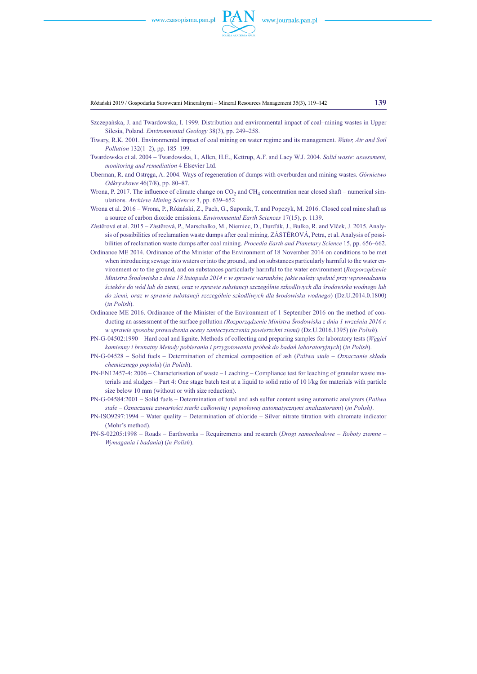

Różański 2019 / Gospodarka Surowcami Mineralnymi – Mineral Resources Management 35(3), 119–142 **139**

- Szczepańska, J. and Twardowska, I. 1999. Distribution and environmental impact of coal–mining wastes in Upper Silesia, Poland. *Environmental Geology* 38(3), pp. 249–258.
- Tiwary, R.K. 2001. Environmental impact of coal mining on water regime and its management. *Water, Air and Soil Pollution* 132(1–2), pp. 185–199.
- Twardowska et al. 2004 Twardowska, I., Allen, H.E., Kettrup, A.F. and Lacy W.J. 2004. *Solid waste: assessment, monitoring and remediation* 4 Elsevier Ltd.
- Uberman, R. and Ostręga, A. 2004. Ways of regeneration of dumps with overburden and mining wastes. *Górnictwo Odkrywkowe* 46(7/8), pp. 80–87.
- Wrona, P. 2017. The influence of climate change on  $CO<sub>2</sub>$  and  $CH<sub>4</sub>$  concentration near closed shaft numerical simulations. *Archieve Mining Sciences* 3, pp. 639–652
- Wrona et al. 2016 Wrona, P., Różański, Z., Pach, G., Suponik, T. and Popczyk, M. 2016. Closed coal mine shaft as a source of carbon dioxide emissions. *Environmental Earth Sciences* 17(15), p. 1139.
- Zástěrová et al. 2015 Zástěrová, P., Marschalko, M., Niemiec, D., Durďák, J., Bulko, R. and Vlček, J. 2015. Analysis of possibilities of reclamation waste dumps after coal mining. ZÁSTĚROVÁ, Petra, et al. Analysis of possibilities of reclamation waste dumps after coal mining. *Procedia Earth and Planetary Science* 15, pp. 656–662.
- Ordinance ME 2014. Ordinance of the Minister of the Environment of 18 November 2014 on conditions to be met when introducing sewage into waters or into the ground, and on substances particularly harmful to the water environment or to the ground, and on substances particularly harmful to the water environment (*Rozporządzenie Ministra Środowiska z dnia 18 listopada 2014 r. w sprawie warunków, jakie należy spełnić przy wprowadzaniu ścieków do wód lub do ziemi, oraz w sprawie substancji szczególnie szkodliwych dla środowiska wodnego lub do ziemi, oraz w sprawie substancji szczególnie szkodliwych dla* **ś***rodowiska wodnego*) (Dz.U.2014.0.1800) (*in Polish*).
- Ordinance ME 2016. Ordinance of the Minister of the Environment of 1 September 2016 on the method of conducting an assessment of the surface pollution *(Rozporządzenie Ministra Środowiska z dnia 1 września 2016 r. w sprawie sposobu prowadzenia oceny zanieczyszczenia powierzchni ziemi)* (Dz.U.2016.1395) (*in Polish*).
- PN-G-04502:1990 Hard coal and lignite. Methods of collecting and preparing samples for laboratory tests (*Węgiel kamienny i brunatny Metody pobierania i przygotowania próbek do badań laboratoryjnych*) (*in Polish*).
- PN-G-04528 Solid fuels Determination of chemical composition of ash (*Paliwa stałe Oznaczanie składu chemicznego popiołu*) (*in Polish*).
- PN-EN12457-4: 2006 Characterisation of waste Leaching Compliance test for leaching of granular waste materials and sludges – Part 4: One stage batch test at a liquid to solid ratio of 10 l/kg for materials with particle size below 10 mm (without or with size reduction).
- PN-G-04584:2001 Solid fuels Determination of total and ash sulfur content using automatic analyzers (*Paliwa stałe – Oznaczanie zawartości siarki całkowitej i popiołowej automatycznymi analizatorami*) (*in Polish)*.
- PN-ISO9297:1994 Water quality Determination of chloride Silver nitrate titration with chromate indicator (Mohr's method).
- PN-S-02205:1998 Roads Earthworks Requirements and research (*Drogi samochodowe Roboty ziemne – Wymagania i badania*) (*in Polish*).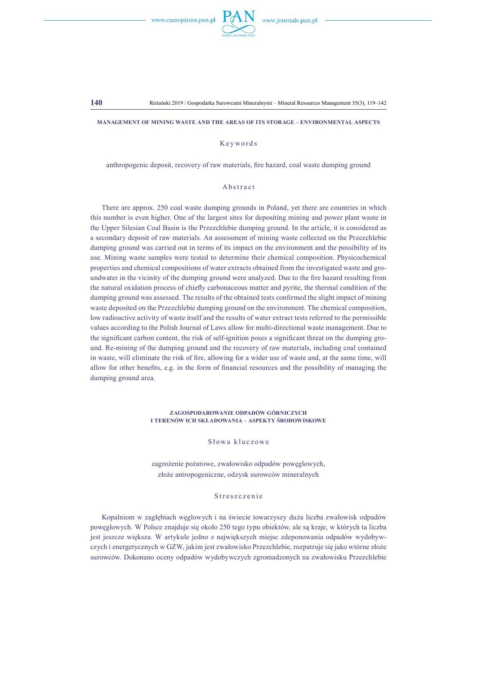

**Management of mining waste and the areas of its storage – environmental aspects**

#### Keywords

anthropogenic deposit, recovery of raw materials, fire hazard, coal waste dumping ground

#### **A** b s t r a c t

There are approx. 250 coal waste dumping grounds in Poland, yet there are countries in which this number is even higher. One of the largest sites for depositing mining and power plant waste in the Upper Silesian Coal Basin is the Przezchlebie dumping ground. In the article, it is considered as a secondary deposit of raw materials. An assessment of mining waste collected on the Przezchlebie dumping ground was carried out in terms of its impact on the environment and the possibility of its use. Mining waste samples were tested to determine their chemical composition. Physicochemical properties and chemical compositions of water extracts obtained from the investigated waste and groundwater in the vicinity of the dumping ground were analyzed. Due to the fire hazard resulting from the natural oxidation process of chiefly carbonaceous matter and pyrite, the thermal condition of the dumping ground was assessed. The results of the obtained tests confirmed the slight impact of mining waste deposited on the Przezchlebie dumping ground on the environment. The chemical composition, low radioactive activity of waste itself and the results of water extract tests referred to the permissible values according to the Polish Journal of Laws allow for multi-directional waste management. Due to the significant carbon content, the risk of self-ignition poses a significant threat on the dumping ground. Re-mining of the dumping ground and the recovery of raw materials, including coal contained in waste, will eliminate the risk of fire, allowing for a wider use of waste and, at the same time, will allow for other benefits, e.g. in the form of financial resources and the possibility of managing the dumping ground area.

#### **Zagospodarowanie odpadów górniczych i terenów ich składowania – aspekty środowiskowe**

#### Słowa kluczowe

zagrożenie pożarowe, zwałowisko odpadów powęglowych, złoże antropogeniczne, odzysk surowców mineralnych

#### Streszczenie

Kopalniom w zagłębiach węglowych i na świecie towarzyszy duża liczba zwałowisk odpadów powęglowych. W Polsce znajduje się około 250 tego typu obiektów, ale są kraje, w których ta liczba jest jeszcze większa. W artykule jedno z największych miejsc zdeponowania odpadów wydobywczych i energetycznych w GZW, jakim jest zwałowisko Przezchlebie, rozpatruje się jako wtórne złoże surowców. Dokonano oceny odpadów wydobywczych zgromadzonych na zwałowisku Przezchlebie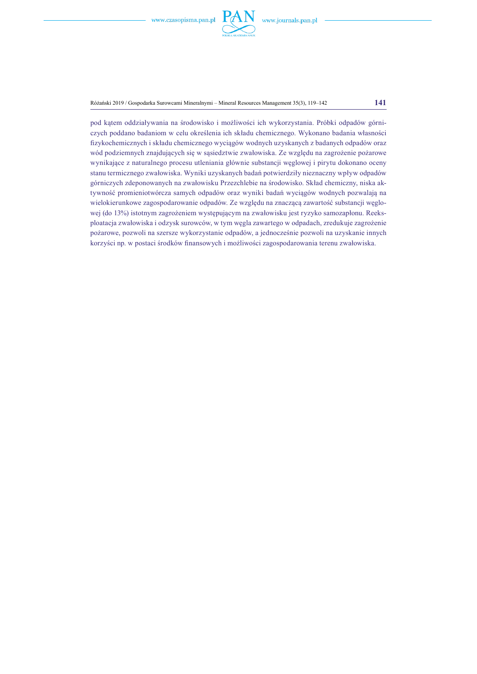

Różański 2019 / Gospodarka Surowcami Mineralnymi – Mineral Resources Management 35(3), 119–142 **141**

pod kątem oddziaływania na środowisko i możliwości ich wykorzystania. Próbki odpadów górniczych poddano badaniom w celu określenia ich składu chemicznego. Wykonano badania własności fizykochemicznych i składu chemicznego wyciągów wodnych uzyskanych z badanych odpadów oraz wód podziemnych znajdujących się w sąsiedztwie zwałowiska. Ze względu na zagrożenie pożarowe wynikające z naturalnego procesu utleniania głównie substancji węglowej i pirytu dokonano oceny stanu termicznego zwałowiska. Wyniki uzyskanych badań potwierdziły nieznaczny wpływ odpadów górniczych zdeponowanych na zwałowisku Przezchlebie na środowisko. Skład chemiczny, niska aktywność promieniotwórcza samych odpadów oraz wyniki badań wyciągów wodnych pozwalają na wielokierunkowe zagospodarowanie odpadów. Ze względu na znaczącą zawartość substancji węglowej (do 13%) istotnym zagrożeniem występującym na zwałowisku jest ryzyko samozapłonu. Reeksploatacja zwałowiska i odzysk surowców, w tym węgla zawartego w odpadach, zredukuje zagrożenie pożarowe, pozwoli na szersze wykorzystanie odpadów, a jednocześnie pozwoli na uzyskanie innych korzyści np. w postaci środków finansowych i możliwości zagospodarowania terenu zwałowiska.